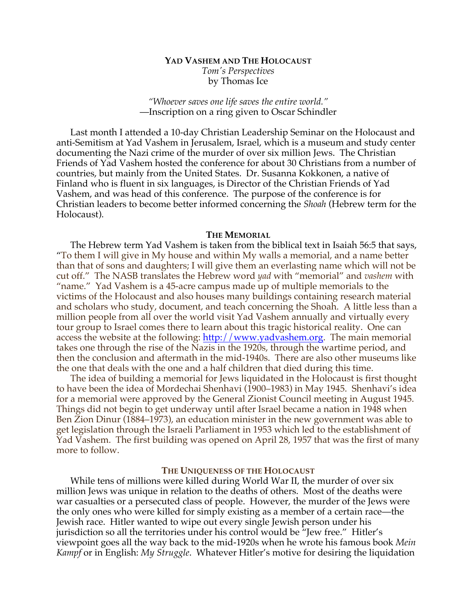# **YAD VASHEM AND THE HOLOCAUST** *Tom's Perspectives* by Thomas Ice

*"Whoever saves one life saves the entire world."* —Inscription on a ring given to Oscar Schindler

Last month I attended a 10-day Christian Leadership Seminar on the Holocaust and anti-Semitism at Yad Vashem in Jerusalem, Israel, which is a museum and study center documenting the Nazi crime of the murder of over six million Jews. The Christian Friends of Yad Vashem hosted the conference for about 30 Christians from a number of countries, but mainly from the United States. Dr. Susanna Kokkonen, a native of Finland who is fluent in six languages, is Director of the Christian Friends of Yad Vashem, and was head of this conference. The purpose of the conference is for Christian leaders to become better informed concerning the *Shoah* (Hebrew term for the Holocaust).

#### **THE MEMORIAL**

The Hebrew term Yad Vashem is taken from the biblical text in Isaiah 56:5 that says, "To them I will give in My house and within My walls a memorial, and a name better than that of sons and daughters; I will give them an everlasting name which will not be cut off." The NASB translates the Hebrew word *yad* with "memorial" and *vashem* with "name." Yad Vashem is a 45-acre campus made up of multiple memorials to the victims of the Holocaust and also houses many buildings containing research material and scholars who study, document, and teach concerning the Shoah. A little less than a million people from all over the world visit Yad Vashem annually and virtually every tour group to Israel comes there to learn about this tragic historical reality. One can access the website at the following: http://www.yadvashem.org. The main memorial takes one through the rise of the Nazis in the 1920s, through the wartime period, and then the conclusion and aftermath in the mid-1940s. There are also other museums like the one that deals with the one and a half children that died during this time.

The idea of building a memorial for Jews liquidated in the Holocaust is first thought to have been the idea of Mordechai Shenhavi (1900–1983) in May 1945. Shenhavi's idea for a memorial were approved by the General Zionist Council meeting in August 1945. Things did not begin to get underway until after Israel became a nation in 1948 when Ben Zion Dinur (1884–1973), an education minister in the new government was able to get legislation through the Israeli Parliament in 1953 which led to the establishment of Yad Vashem. The first building was opened on April 28, 1957 that was the first of many more to follow.

### **THE UNIQUENESS OF THE HOLOCAUST**

While tens of millions were killed during World War II, the murder of over six million Jews was unique in relation to the deaths of others. Most of the deaths were war casualties or a persecuted class of people. However, the murder of the Jews were the only ones who were killed for simply existing as a member of a certain race—the Jewish race. Hitler wanted to wipe out every single Jewish person under his jurisdiction so all the territories under his control would be "Jew free." Hitler's viewpoint goes all the way back to the mid-1920s when he wrote his famous book *Mein Kampf* or in English: *My Struggle*. Whatever Hitler's motive for desiring the liquidation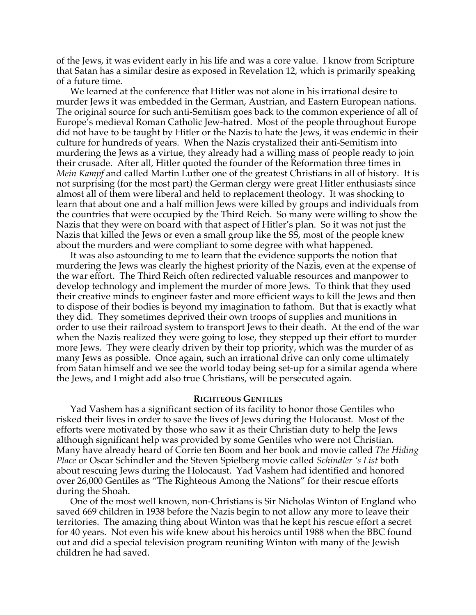of the Jews, it was evident early in his life and was a core value. I know from Scripture that Satan has a similar desire as exposed in Revelation 12, which is primarily speaking of a future time.

We learned at the conference that Hitler was not alone in his irrational desire to murder Jews it was embedded in the German, Austrian, and Eastern European nations. The original source for such anti-Semitism goes back to the common experience of all of Europe's medieval Roman Catholic Jew-hatred. Most of the people throughout Europe did not have to be taught by Hitler or the Nazis to hate the Jews, it was endemic in their culture for hundreds of years. When the Nazis crystalized their anti-Semitism into murdering the Jews as a virtue, they already had a willing mass of people ready to join their crusade. After all, Hitler quoted the founder of the Reformation three times in *Mein Kampf* and called Martin Luther one of the greatest Christians in all of history. It is not surprising (for the most part) the German clergy were great Hitler enthusiasts since almost all of them were liberal and held to replacement theology. It was shocking to learn that about one and a half million Jews were killed by groups and individuals from the countries that were occupied by the Third Reich. So many were willing to show the Nazis that they were on board with that aspect of Hitler's plan. So it was not just the Nazis that killed the Jews or even a small group like the SS, most of the people knew about the murders and were compliant to some degree with what happened.

It was also astounding to me to learn that the evidence supports the notion that murdering the Jews was clearly the highest priority of the Nazis, even at the expense of the war effort. The Third Reich often redirected valuable resources and manpower to develop technology and implement the murder of more Jews. To think that they used their creative minds to engineer faster and more efficient ways to kill the Jews and then to dispose of their bodies is beyond my imagination to fathom. But that is exactly what they did. They sometimes deprived their own troops of supplies and munitions in order to use their railroad system to transport Jews to their death. At the end of the war when the Nazis realized they were going to lose, they stepped up their effort to murder more Jews. They were clearly driven by their top priority, which was the murder of as many Jews as possible. Once again, such an irrational drive can only come ultimately from Satan himself and we see the world today being set-up for a similar agenda where the Jews, and I might add also true Christians, will be persecuted again.

## **RIGHTEOUS GENTILES**

Yad Vashem has a significant section of its facility to honor those Gentiles who risked their lives in order to save the lives of Jews during the Holocaust. Most of the efforts were motivated by those who saw it as their Christian duty to help the Jews although significant help was provided by some Gentiles who were not Christian. Many have already heard of Corrie ten Boom and her book and movie called *The Hiding Place* or Oscar Schindler and the Steven Spielberg movie called *Schindler 's List* both about rescuing Jews during the Holocaust. Yad Vashem had identified and honored over 26,000 Gentiles as "The Righteous Among the Nations" for their rescue efforts during the Shoah.

One of the most well known, non-Christians is Sir Nicholas Winton of England who saved 669 children in 1938 before the Nazis begin to not allow any more to leave their territories. The amazing thing about Winton was that he kept his rescue effort a secret for 40 years. Not even his wife knew about his heroics until 1988 when the BBC found out and did a special television program reuniting Winton with many of the Jewish children he had saved.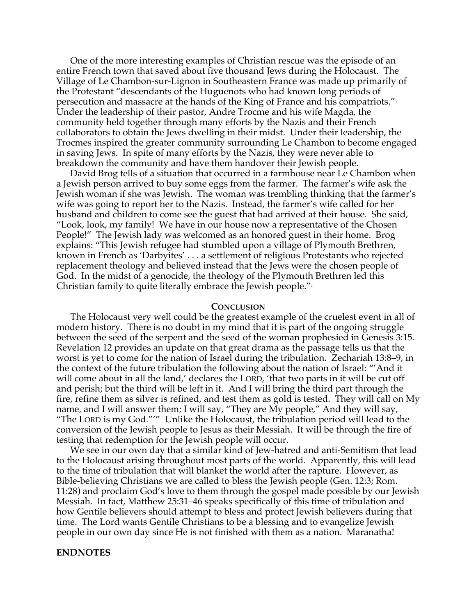One of the more interesting examples of Christian rescue was the episode of an entire French town that saved about five thousand Jews during the Holocaust. The Village of Le Chambon-sur-Lignon in Southeastern France was made up primarily of the Protestant "descendants of the Huguenots who had known long periods of persecution and massacre at the hands of the King of France and his compatriots." $^{\scriptscriptstyle\rm I}$ Under the leadership of their pastor, Andre Trocme and his wife Magda, the community held together through many efforts by the Nazis and their French collaborators to obtain the Jews dwelling in their midst. Under their leadership, the Trocmes inspired the greater community surrounding Le Chambon to become engaged in saving Jews. In spite of many efforts by the Nazis, they were never able to breakdown the community and have them handover their Jewish people.

David Brog tells of a situation that occurred in a farmhouse near Le Chambon when a Jewish person arrived to buy some eggs from the farmer. The farmer's wife ask the Jewish woman if she was Jewish. The woman was trembling thinking that the farmer's wife was going to report her to the Nazis. Instead, the farmer's wife called for her husband and children to come see the guest that had arrived at their house. She said, "Look, look, my family! We have in our house now a representative of the Chosen People!" The Jewish lady was welcomed as an honored guest in their home. Brog explains: "This Jewish refugee had stumbled upon a village of Plymouth Brethren, known in French as 'Darbyites' . . . a settlement of religious Protestants who rejected replacement theology and believed instead that the Jews were the chosen people of God. In the midst of a genocide, the theology of the Plymouth Brethren led this Christian family to quite literally embrace the Jewish people." $\frac{1}{2}$ 

### **CONCLUSION**

The Holocaust very well could be the greatest example of the cruelest event in all of modern history. There is no doubt in my mind that it is part of the ongoing struggle between the seed of the serpent and the seed of the woman prophesied in Genesis 3:15. Revelation 12 provides an update on that great drama as the passage tells us that the worst is yet to come for the nation of Israel during the tribulation. Zechariah 13:8–9, in the context of the future tribulation the following about the nation of Israel: "'And it will come about in all the land,' declares the LORD, 'that two parts in it will be cut off and perish; but the third will be left in it. And I will bring the third part through the fire, refine them as silver is refined, and test them as gold is tested. They will call on My name, and I will answer them; I will say, "They are My people," And they will say, "The LORD is my God."'" Unlike the Holocaust, the tribulation period will lead to the conversion of the Jewish people to Jesus as their Messiah. It will be through the fire of testing that redemption for the Jewish people will occur.

We see in our own day that a similar kind of Jew-hatred and anti-Semitism that lead to the Holocaust arising throughout most parts of the world. Apparently, this will lead to the time of tribulation that will blanket the world after the rapture. However, as Bible-believing Christians we are called to bless the Jewish people (Gen. 12:3; Rom. 11:28) and proclaim God's love to them through the gospel made possible by our Jewish Messiah. In fact, Matthew 25:31–46 speaks specifically of this time of tribulation and how Gentile believers should attempt to bless and protect Jewish believers during that time. The Lord wants Gentile Christians to be a blessing and to evangelize Jewish people in our own day since He is not finished with them as a nation. Maranatha!

## **ENDNOTES**